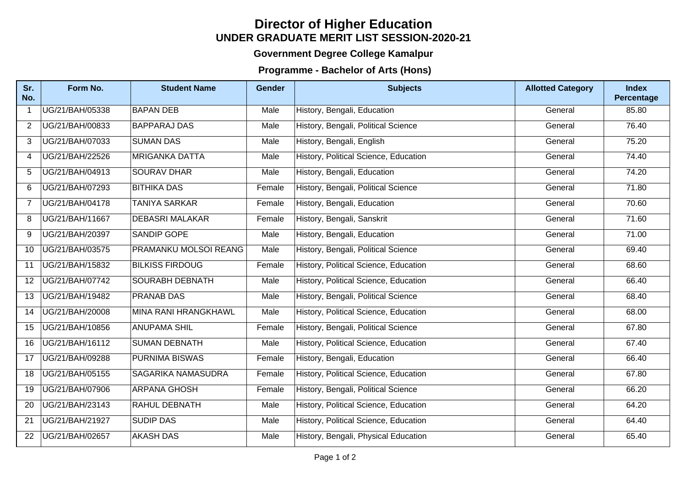## **UNDER GRADUATE MERIT LIST SESSION-2020-21 Director of Higher Education**

## **Government Degree College Kamalpur**

## **Programme - Bachelor of Arts (Hons)**

| Sr.<br>No.      | Form No.        | <b>Student Name</b>          | <b>Gender</b> | <b>Subjects</b>                       | <b>Allotted Category</b> | <b>Index</b><br>Percentage |
|-----------------|-----------------|------------------------------|---------------|---------------------------------------|--------------------------|----------------------------|
| $\mathbf{1}$    | UG/21/BAH/05338 | <b>BAPAN DEB</b>             | Male          | History, Bengali, Education           | General                  | 85.80                      |
| $\overline{2}$  | UG/21/BAH/00833 | <b>BAPPARAJ DAS</b>          | Male          | History, Bengali, Political Science   | General                  | 76.40                      |
| 3               | UG/21/BAH/07033 | <b>SUMAN DAS</b>             | Male          | History, Bengali, English             | General                  | 75.20                      |
| 4               | UG/21/BAH/22526 | <b>MRIGANKA DATTA</b>        | Male          | History, Political Science, Education | General                  | 74.40                      |
| 5               | UG/21/BAH/04913 | <b>SOURAV DHAR</b>           | Male          | History, Bengali, Education           | General                  | 74.20                      |
| 6               | UG/21/BAH/07293 | <b>BITHIKA DAS</b>           | Female        | History, Bengali, Political Science   | General                  | 71.80                      |
| $\overline{7}$  | UG/21/BAH/04178 | <b>TANIYA SARKAR</b>         | Female        | History, Bengali, Education           | General                  | 70.60                      |
| 8               | UG/21/BAH/11667 | <b>DEBASRI MALAKAR</b>       | Female        | History, Bengali, Sanskrit            | General                  | 71.60                      |
| 9               | UG/21/BAH/20397 | <b>SANDIP GOPE</b>           | Male          | History, Bengali, Education           | General                  | 71.00                      |
| 10              | UG/21/BAH/03575 | <b>PRAMANKU MOLSOI REANG</b> | Male          | History, Bengali, Political Science   | General                  | 69.40                      |
| 11              | UG/21/BAH/15832 | <b>BILKISS FIRDOUG</b>       | Female        | History, Political Science, Education | General                  | 68.60                      |
| 12 <sup>2</sup> | UG/21/BAH/07742 | SOURABH DEBNATH              | Male          | History, Political Science, Education | General                  | 66.40                      |
| 13              | UG/21/BAH/19482 | <b>PRANAB DAS</b>            | Male          | History, Bengali, Political Science   | General                  | 68.40                      |
| 14              | UG/21/BAH/20008 | <b>MINA RANI HRANGKHAWL</b>  | Male          | History, Political Science, Education | General                  | 68.00                      |
| 15              | UG/21/BAH/10856 | <b>ANUPAMA SHIL</b>          | Female        | History, Bengali, Political Science   | General                  | 67.80                      |
| 16              | UG/21/BAH/16112 | <b>SUMAN DEBNATH</b>         | Male          | History, Political Science, Education | General                  | 67.40                      |
| 17              | UG/21/BAH/09288 | <b>PURNIMA BISWAS</b>        | Female        | History, Bengali, Education           | General                  | 66.40                      |
| 18              | UG/21/BAH/05155 | <b>SAGARIKA NAMASUDRA</b>    | Female        | History, Political Science, Education | General                  | 67.80                      |
| 19              | UG/21/BAH/07906 | <b>ARPANA GHOSH</b>          | Female        | History, Bengali, Political Science   | General                  | 66.20                      |
| 20              | UG/21/BAH/23143 | <b>RAHUL DEBNATH</b>         | Male          | History, Political Science, Education | General                  | 64.20                      |
| 21              | UG/21/BAH/21927 | <b>SUDIP DAS</b>             | Male          | History, Political Science, Education | General                  | 64.40                      |
| 22              | UG/21/BAH/02657 | <b>AKASH DAS</b>             | Male          | History, Bengali, Physical Education  | General                  | 65.40                      |